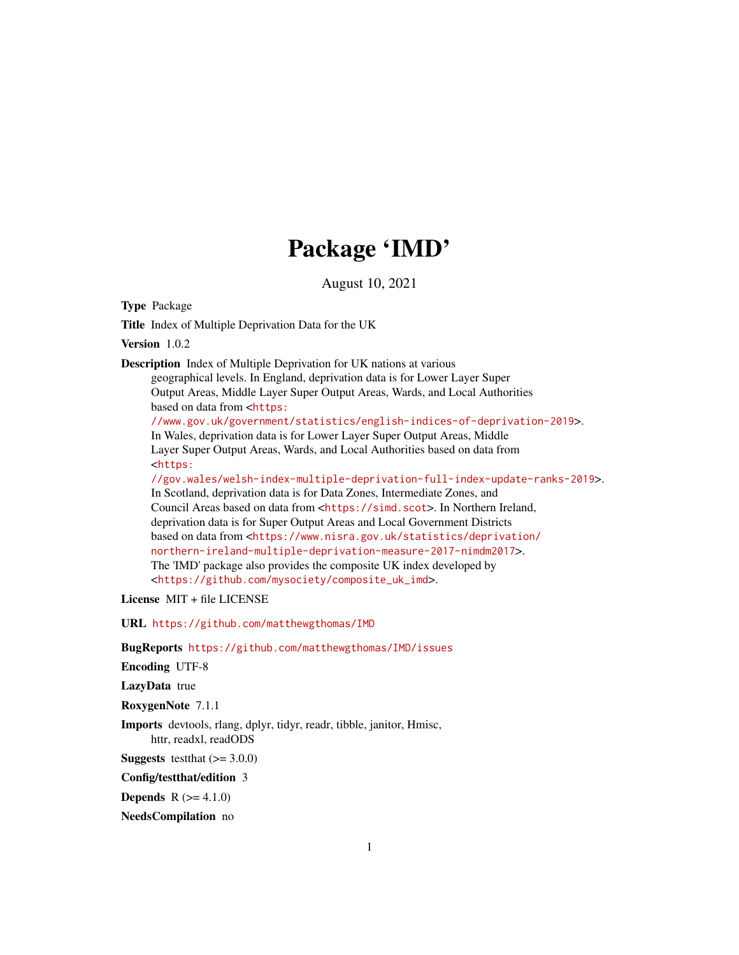# Package 'IMD'

August 10, 2021

Type Package

Title Index of Multiple Deprivation Data for the UK

Version 1.0.2

Description Index of Multiple Deprivation for UK nations at various

geographical levels. In England, deprivation data is for Lower Layer Super Output Areas, Middle Layer Super Output Areas, Wards, and Local Authorities based on data from <[https:](https://www.gov.uk/government/statistics/english-indices-of-deprivation-2019) [//www.gov.uk/government/statistics/english-indices-of-deprivation-2019](https://www.gov.uk/government/statistics/english-indices-of-deprivation-2019)>. In Wales, deprivation data is for Lower Layer Super Output Areas, Middle Layer Super Output Areas, Wards, and Local Authorities based on data from <[https:](https://gov.wales/welsh-index-multiple-deprivation-full-index-update-ranks-2019) [//gov.wales/welsh-index-multiple-deprivation-full-index-update-ranks-2019](https://gov.wales/welsh-index-multiple-deprivation-full-index-update-ranks-2019)>. In Scotland, deprivation data is for Data Zones, Intermediate Zones, and Council Areas based on data from <<https://simd.scot>>. In Northern Ireland, deprivation data is for Super Output Areas and Local Government Districts based on data from <[https://www.nisra.gov.uk/statistics/deprivation/](https://www.nisra.gov.uk/statistics/deprivation/northern-ireland-multiple-deprivation-measure-2017-nimdm2017) [northern-ireland-multiple-deprivation-measure-2017-nimdm2017](https://www.nisra.gov.uk/statistics/deprivation/northern-ireland-multiple-deprivation-measure-2017-nimdm2017)>. The 'IMD' package also provides the composite UK index developed by

<[https://github.com/mysociety/composite\\_uk\\_imd](https://github.com/mysociety/composite_uk_imd)>.

License MIT + file LICENSE

URL <https://github.com/matthewgthomas/IMD>

BugReports <https://github.com/matthewgthomas/IMD/issues>

Encoding UTF-8

LazyData true

RoxygenNote 7.1.1

Imports devtools, rlang, dplyr, tidyr, readr, tibble, janitor, Hmisc, httr, readxl, readODS

**Suggests** test that  $(>= 3.0.0)$ 

Config/testthat/edition 3

**Depends** R  $(>= 4.1.0)$ 

NeedsCompilation no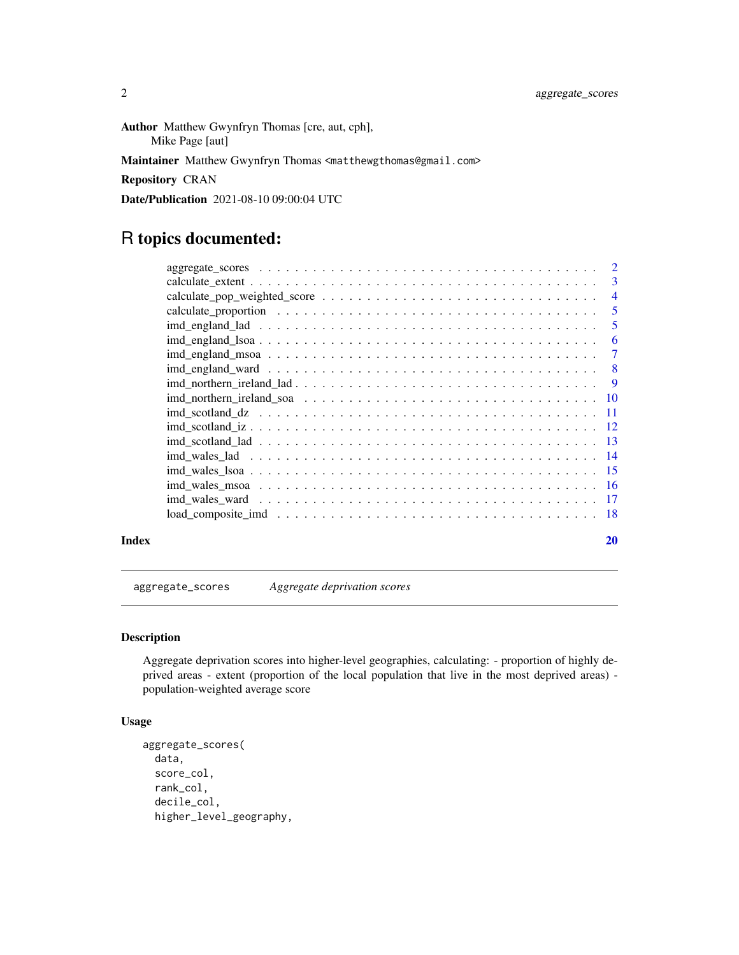<span id="page-1-0"></span>Author Matthew Gwynfryn Thomas [cre, aut, cph], Mike Page [aut]

Maintainer Matthew Gwynfryn Thomas <matthewgthomas@gmail.com>

Repository CRAN

Date/Publication 2021-08-10 09:00:04 UTC

# R topics documented:

|       | $aggregate\_scores \ldots \ldots \ldots \ldots \ldots \ldots \ldots \ldots \ldots \ldots \ldots \ldots 2$ |    |
|-------|-----------------------------------------------------------------------------------------------------------|----|
|       |                                                                                                           |    |
|       |                                                                                                           |    |
|       |                                                                                                           |    |
|       |                                                                                                           |    |
|       |                                                                                                           |    |
|       |                                                                                                           |    |
|       |                                                                                                           |    |
|       |                                                                                                           |    |
|       |                                                                                                           |    |
|       |                                                                                                           |    |
|       |                                                                                                           |    |
|       |                                                                                                           |    |
|       |                                                                                                           |    |
|       |                                                                                                           |    |
|       |                                                                                                           |    |
|       |                                                                                                           |    |
|       |                                                                                                           |    |
| Index |                                                                                                           | 20 |

aggregate\_scores *Aggregate deprivation scores*

#### Description

Aggregate deprivation scores into higher-level geographies, calculating: - proportion of highly deprived areas - extent (proportion of the local population that live in the most deprived areas) population-weighted average score

#### Usage

```
aggregate_scores(
  data,
  score_col,
  rank_col,
  decile_col,
  higher_level_geography,
```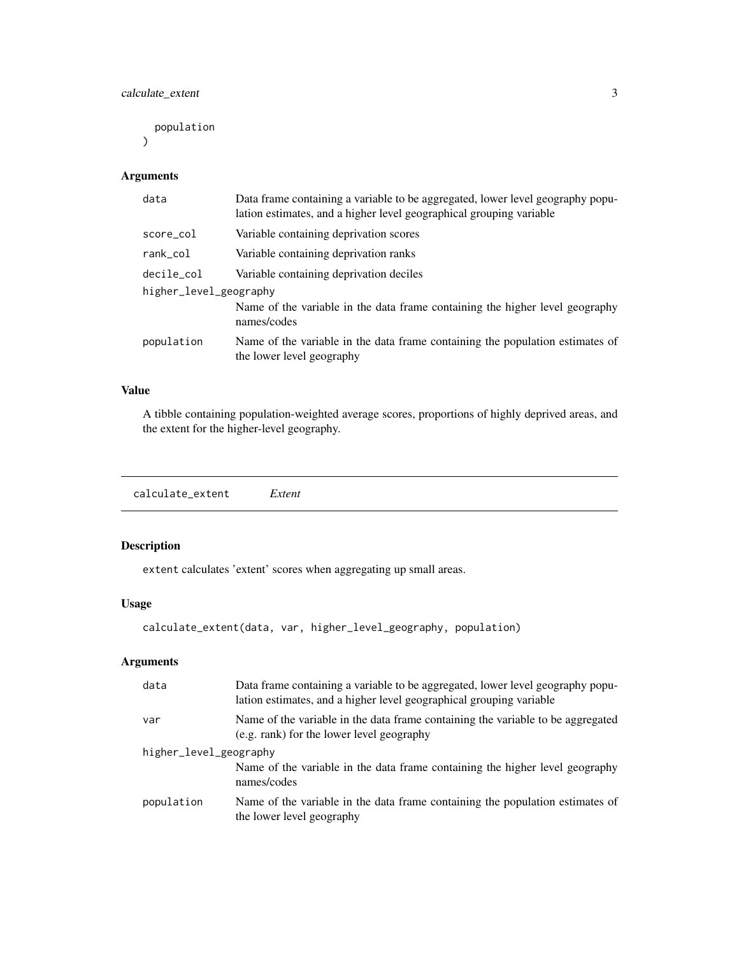<span id="page-2-0"></span>calculate\_extent 3

population

 $\mathcal{L}$ 

#### Arguments

| Data frame containing a variable to be aggregated, lower level geography popu-<br>lation estimates, and a higher level geographical grouping variable |  |  |  |  |  |
|-------------------------------------------------------------------------------------------------------------------------------------------------------|--|--|--|--|--|
| Variable containing deprivation scores                                                                                                                |  |  |  |  |  |
| Variable containing deprivation ranks                                                                                                                 |  |  |  |  |  |
| Variable containing deprivation deciles                                                                                                               |  |  |  |  |  |
| higher_level_geography                                                                                                                                |  |  |  |  |  |
| Name of the variable in the data frame containing the higher level geography<br>names/codes                                                           |  |  |  |  |  |
| Name of the variable in the data frame containing the population estimates of<br>the lower level geography                                            |  |  |  |  |  |
|                                                                                                                                                       |  |  |  |  |  |

#### Value

A tibble containing population-weighted average scores, proportions of highly deprived areas, and the extent for the higher-level geography.

calculate\_extent *Extent*

#### Description

extent calculates 'extent' scores when aggregating up small areas.

#### Usage

```
calculate_extent(data, var, higher_level_geography, population)
```
#### Arguments

| data                   | Data frame containing a variable to be aggregated, lower level geography popu-<br>lation estimates, and a higher level geographical grouping variable |  |  |  |
|------------------------|-------------------------------------------------------------------------------------------------------------------------------------------------------|--|--|--|
| var                    | Name of the variable in the data frame containing the variable to be aggregated<br>(e.g. rank) for the lower level geography                          |  |  |  |
| higher_level_geography |                                                                                                                                                       |  |  |  |
|                        | Name of the variable in the data frame containing the higher level geography<br>names/codes                                                           |  |  |  |
| population             | Name of the variable in the data frame containing the population estimates of<br>the lower level geography                                            |  |  |  |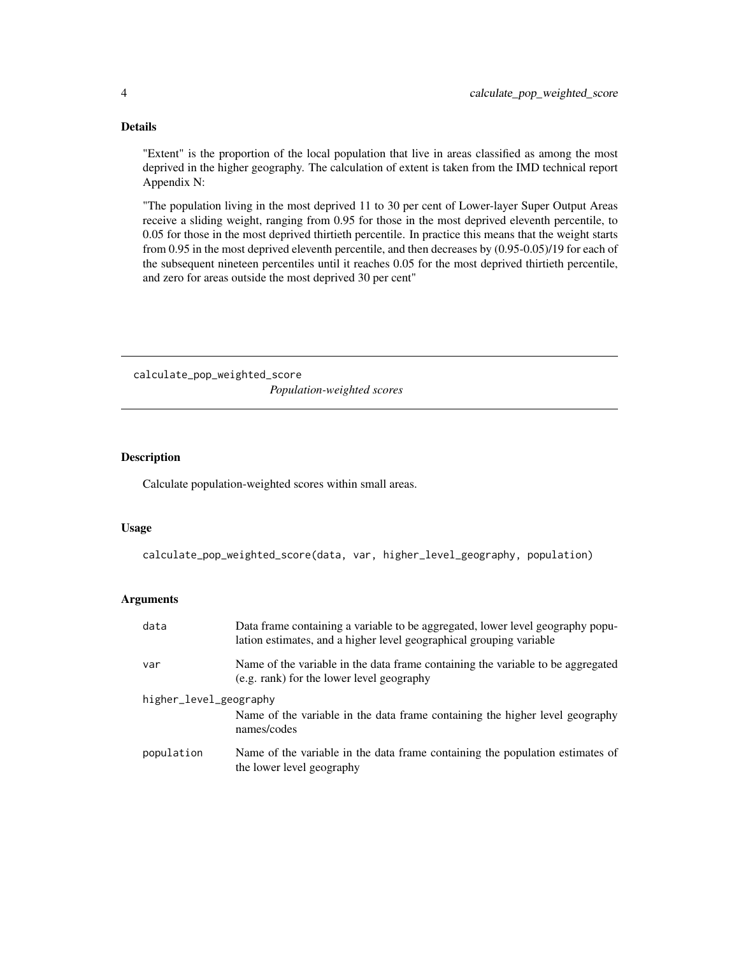#### Details

"Extent" is the proportion of the local population that live in areas classified as among the most deprived in the higher geography. The calculation of extent is taken from the IMD technical report Appendix N:

"The population living in the most deprived 11 to 30 per cent of Lower-layer Super Output Areas receive a sliding weight, ranging from 0.95 for those in the most deprived eleventh percentile, to 0.05 for those in the most deprived thirtieth percentile. In practice this means that the weight starts from 0.95 in the most deprived eleventh percentile, and then decreases by (0.95-0.05)/19 for each of the subsequent nineteen percentiles until it reaches 0.05 for the most deprived thirtieth percentile, and zero for areas outside the most deprived 30 per cent"

calculate\_pop\_weighted\_score *Population-weighted scores*

#### Description

Calculate population-weighted scores within small areas.

#### Usage

calculate\_pop\_weighted\_score(data, var, higher\_level\_geography, population)

#### Arguments

| data                   | Data frame containing a variable to be aggregated, lower level geography popu-<br>lation estimates, and a higher level geographical grouping variable |  |  |  |
|------------------------|-------------------------------------------------------------------------------------------------------------------------------------------------------|--|--|--|
| var                    | Name of the variable in the data frame containing the variable to be aggregated<br>(e.g. rank) for the lower level geography                          |  |  |  |
| higher_level_geography |                                                                                                                                                       |  |  |  |
|                        | Name of the variable in the data frame containing the higher level geography<br>names/codes                                                           |  |  |  |
| population             | Name of the variable in the data frame containing the population estimates of<br>the lower level geography                                            |  |  |  |

<span id="page-3-0"></span>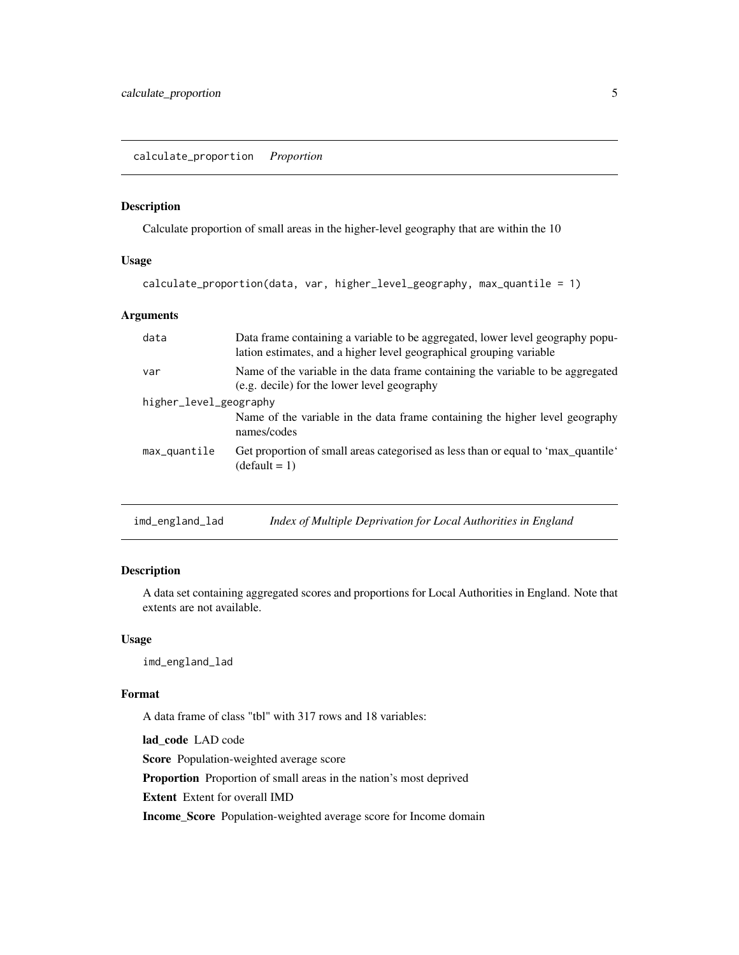<span id="page-4-0"></span>calculate\_proportion *Proportion*

#### Description

Calculate proportion of small areas in the higher-level geography that are within the 10

#### Usage

```
calculate_proportion(data, var, higher_level_geography, max_quantile = 1)
```
#### Arguments

| data                   | Data frame containing a variable to be aggregated, lower level geography popu-<br>lation estimates, and a higher level geographical grouping variable |  |  |  |  |
|------------------------|-------------------------------------------------------------------------------------------------------------------------------------------------------|--|--|--|--|
| var                    | Name of the variable in the data frame containing the variable to be aggregated<br>(e.g. decile) for the lower level geography                        |  |  |  |  |
| higher_level_geography |                                                                                                                                                       |  |  |  |  |
|                        | Name of the variable in the data frame containing the higher level geography<br>names/codes                                                           |  |  |  |  |
| max_quantile           | Get proportion of small areas categorised as less than or equal to 'max_quantile'<br>$(detault = 1)$                                                  |  |  |  |  |
|                        |                                                                                                                                                       |  |  |  |  |

| imd_england_lad |  | Index of Multiple Deprivation for Local Authorities in England |
|-----------------|--|----------------------------------------------------------------|
|                 |  |                                                                |

#### Description

A data set containing aggregated scores and proportions for Local Authorities in England. Note that extents are not available.

#### Usage

imd\_england\_lad

#### Format

A data frame of class "tbl" with 317 rows and 18 variables:

lad\_code LAD code

Score Population-weighted average score

Proportion Proportion of small areas in the nation's most deprived

Extent Extent for overall IMD

Income\_Score Population-weighted average score for Income domain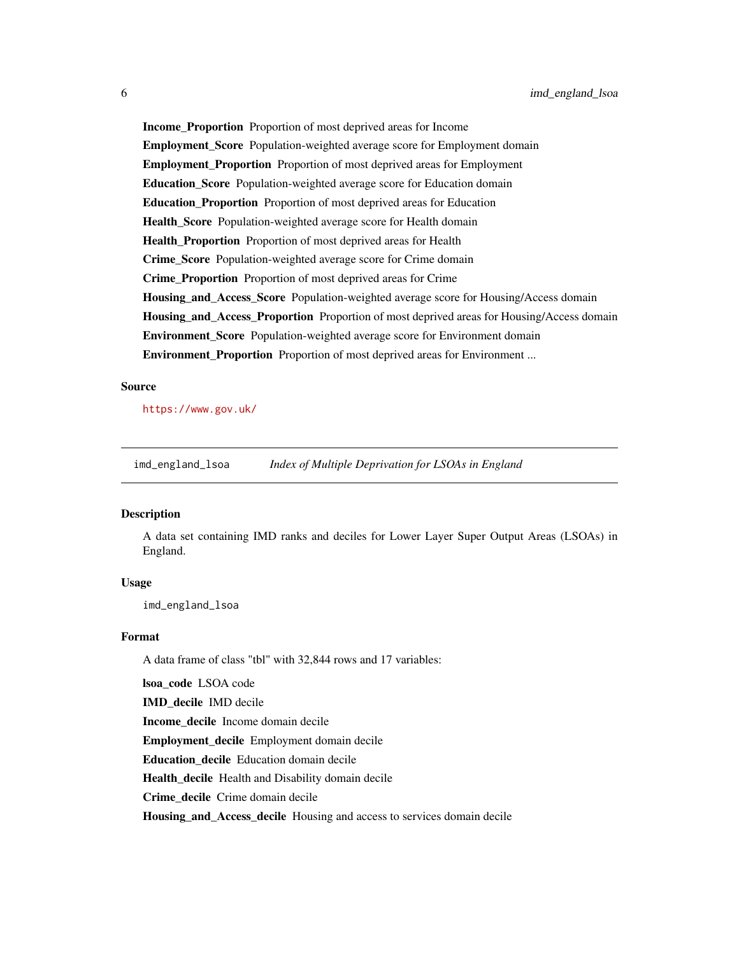<span id="page-5-0"></span>Income\_Proportion Proportion of most deprived areas for Income Employment\_Score Population-weighted average score for Employment domain Employment\_Proportion Proportion of most deprived areas for Employment Education\_Score Population-weighted average score for Education domain Education\_Proportion Proportion of most deprived areas for Education Health Score Population-weighted average score for Health domain Health Proportion Proportion of most deprived areas for Health Crime\_Score Population-weighted average score for Crime domain Crime\_Proportion Proportion of most deprived areas for Crime Housing\_and\_Access\_Score Population-weighted average score for Housing/Access domain Housing\_and\_Access\_Proportion Proportion of most deprived areas for Housing/Access domain Environment\_Score Population-weighted average score for Environment domain **Environment Proportion** Proportion of most deprived areas for Environment ...

#### Source

<https://www.gov.uk/>

imd\_england\_lsoa *Index of Multiple Deprivation for LSOAs in England*

#### Description

A data set containing IMD ranks and deciles for Lower Layer Super Output Areas (LSOAs) in England.

#### Usage

imd\_england\_lsoa

#### Format

A data frame of class "tbl" with 32,844 rows and 17 variables:

lsoa\_code LSOA code

IMD\_decile IMD decile

Income\_decile Income domain decile

Employment\_decile Employment domain decile

Education\_decile Education domain decile

Health decile Health and Disability domain decile

Crime decile Crime domain decile

Housing\_and\_Access\_decile Housing and access to services domain decile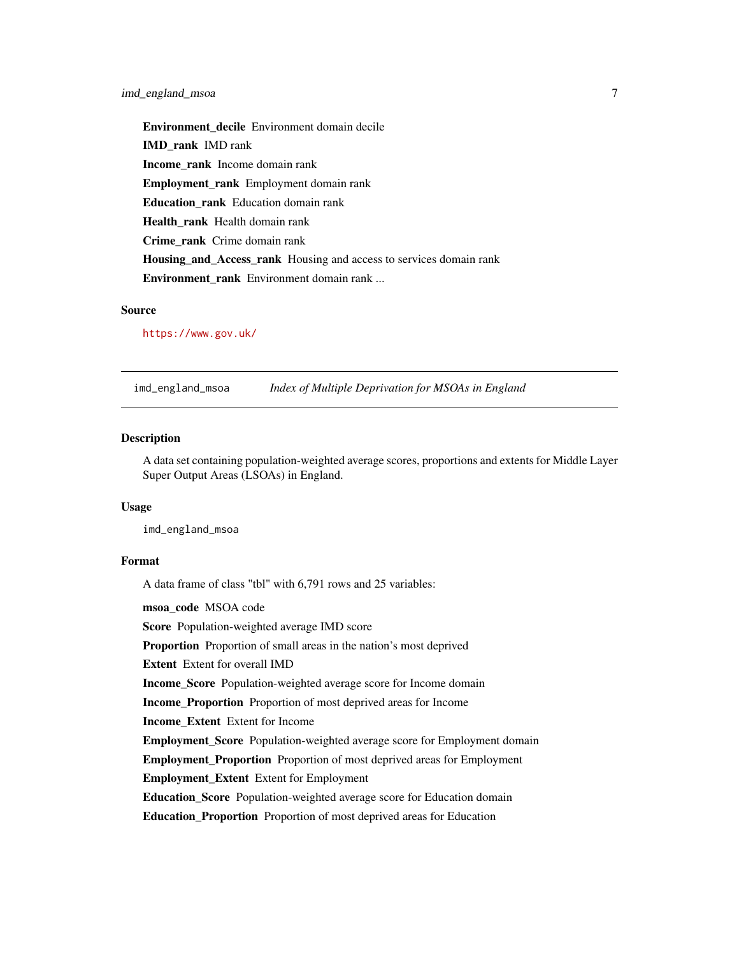<span id="page-6-0"></span>Environment\_decile Environment domain decile IMD\_rank IMD rank Income\_rank Income domain rank Employment\_rank Employment domain rank Education\_rank Education domain rank Health rank Health domain rank Crime\_rank Crime domain rank Housing\_and\_Access\_rank Housing and access to services domain rank Environment\_rank Environment domain rank ...

#### Source

<https://www.gov.uk/>

imd\_england\_msoa *Index of Multiple Deprivation for MSOAs in England*

#### Description

A data set containing population-weighted average scores, proportions and extents for Middle Layer Super Output Areas (LSOAs) in England.

#### Usage

imd\_england\_msoa

#### Format

A data frame of class "tbl" with 6,791 rows and 25 variables:

msoa\_code MSOA code

Score Population-weighted average IMD score

Proportion Proportion of small areas in the nation's most deprived

Extent Extent for overall IMD

Income\_Score Population-weighted average score for Income domain

Income\_Proportion Proportion of most deprived areas for Income

Income\_Extent Extent for Income

Employment\_Score Population-weighted average score for Employment domain

Employment\_Proportion Proportion of most deprived areas for Employment

Employment\_Extent Extent for Employment

Education Score Population-weighted average score for Education domain

Education\_Proportion Proportion of most deprived areas for Education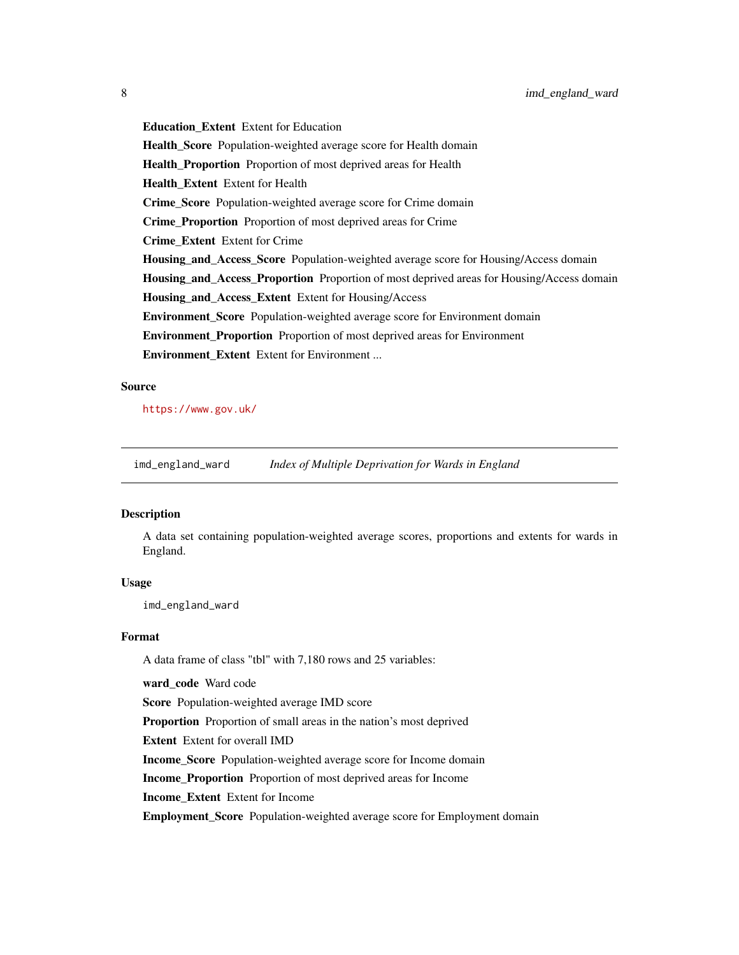<span id="page-7-0"></span>Education\_Extent Extent for Education Health\_Score Population-weighted average score for Health domain Health\_Proportion Proportion of most deprived areas for Health Health\_Extent Extent for Health Crime\_Score Population-weighted average score for Crime domain Crime Proportion Proportion of most deprived areas for Crime Crime\_Extent Extent for Crime Housing\_and\_Access\_Score Population-weighted average score for Housing/Access domain Housing\_and\_Access\_Proportion Proportion of most deprived areas for Housing/Access domain Housing\_and\_Access\_Extent Extent for Housing/Access Environment\_Score Population-weighted average score for Environment domain Environment\_Proportion Proportion of most deprived areas for Environment Environment Extent Extent for Environment ...

#### Source

<https://www.gov.uk/>

imd\_england\_ward *Index of Multiple Deprivation for Wards in England*

#### Description

A data set containing population-weighted average scores, proportions and extents for wards in England.

#### Usage

imd\_england\_ward

#### Format

A data frame of class "tbl" with 7,180 rows and 25 variables:

ward\_code Ward code

Score Population-weighted average IMD score

Proportion Proportion of small areas in the nation's most deprived

Extent Extent for overall IMD

Income\_Score Population-weighted average score for Income domain

Income\_Proportion Proportion of most deprived areas for Income

Income\_Extent Extent for Income

Employment\_Score Population-weighted average score for Employment domain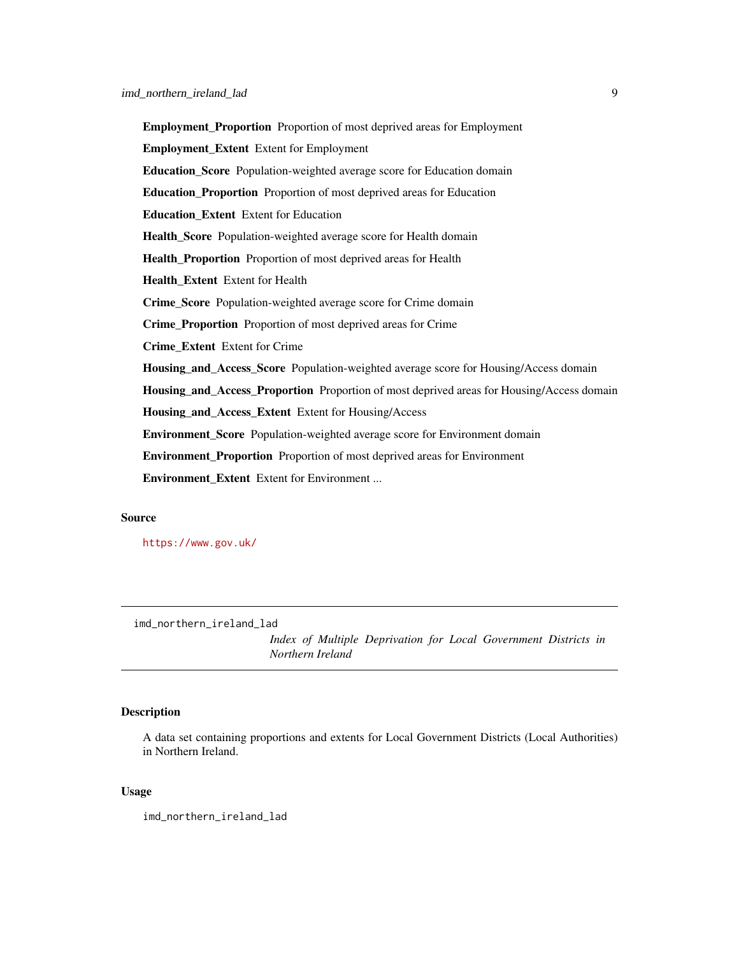<span id="page-8-0"></span>Employment\_Proportion Proportion of most deprived areas for Employment Employment\_Extent Extent for Employment Education\_Score Population-weighted average score for Education domain Education\_Proportion Proportion of most deprived areas for Education Education\_Extent Extent for Education Health\_Score Population-weighted average score for Health domain Health\_Proportion Proportion of most deprived areas for Health Health Extent Extent for Health Crime\_Score Population-weighted average score for Crime domain Crime\_Proportion Proportion of most deprived areas for Crime Crime\_Extent Extent for Crime Housing\_and\_Access\_Score Population-weighted average score for Housing/Access domain Housing\_and\_Access\_Proportion Proportion of most deprived areas for Housing/Access domain Housing\_and\_Access\_Extent Extent for Housing/Access Environment\_Score Population-weighted average score for Environment domain Environment\_Proportion Proportion of most deprived areas for Environment Environment\_Extent Extent for Environment ...

#### Source

<https://www.gov.uk/>

imd\_northern\_ireland\_lad

*Index of Multiple Deprivation for Local Government Districts in Northern Ireland*

#### **Description**

A data set containing proportions and extents for Local Government Districts (Local Authorities) in Northern Ireland.

#### Usage

imd\_northern\_ireland\_lad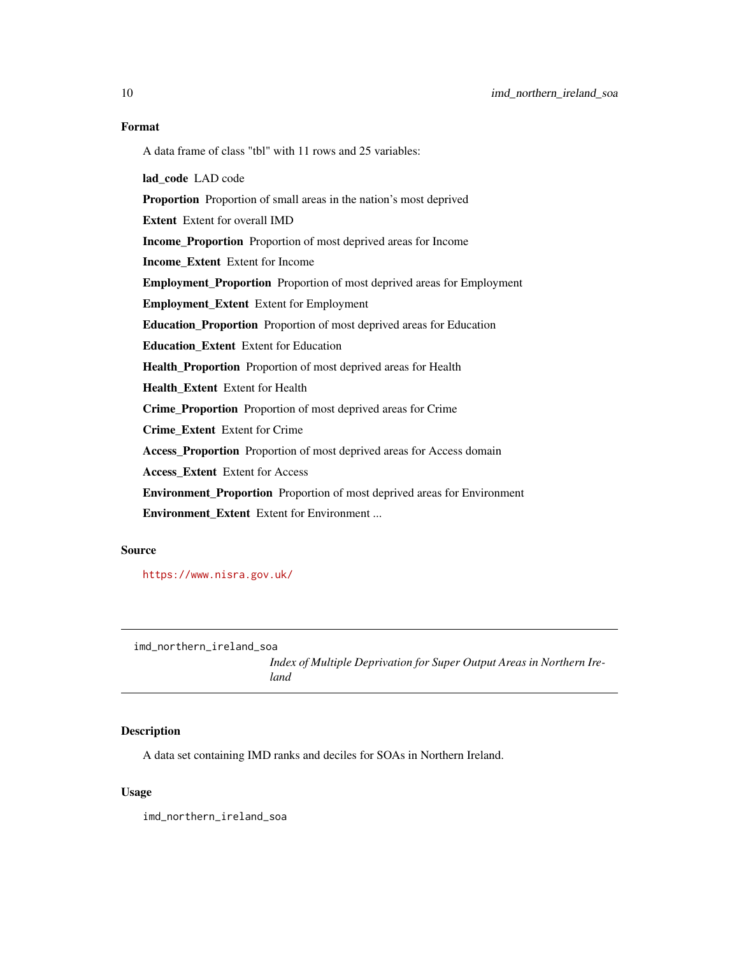<span id="page-9-0"></span>A data frame of class "tbl" with 11 rows and 25 variables:

lad\_code LAD code Proportion Proportion of small areas in the nation's most deprived Extent Extent for overall IMD Income\_Proportion Proportion of most deprived areas for Income Income\_Extent Extent for Income Employment\_Proportion Proportion of most deprived areas for Employment Employment\_Extent Extent for Employment Education\_Proportion Proportion of most deprived areas for Education Education Extent Extent for Education Health\_Proportion Proportion of most deprived areas for Health Health\_Extent Extent for Health Crime\_Proportion Proportion of most deprived areas for Crime Crime\_Extent Extent for Crime Access\_Proportion Proportion of most deprived areas for Access domain Access Extent Extent for Access Environment\_Proportion Proportion of most deprived areas for Environment Environment\_Extent Extent for Environment ...

#### Source

<https://www.nisra.gov.uk/>

imd\_northern\_ireland\_soa

*Index of Multiple Deprivation for Super Output Areas in Northern Ireland*

#### **Description**

A data set containing IMD ranks and deciles for SOAs in Northern Ireland.

#### Usage

imd\_northern\_ireland\_soa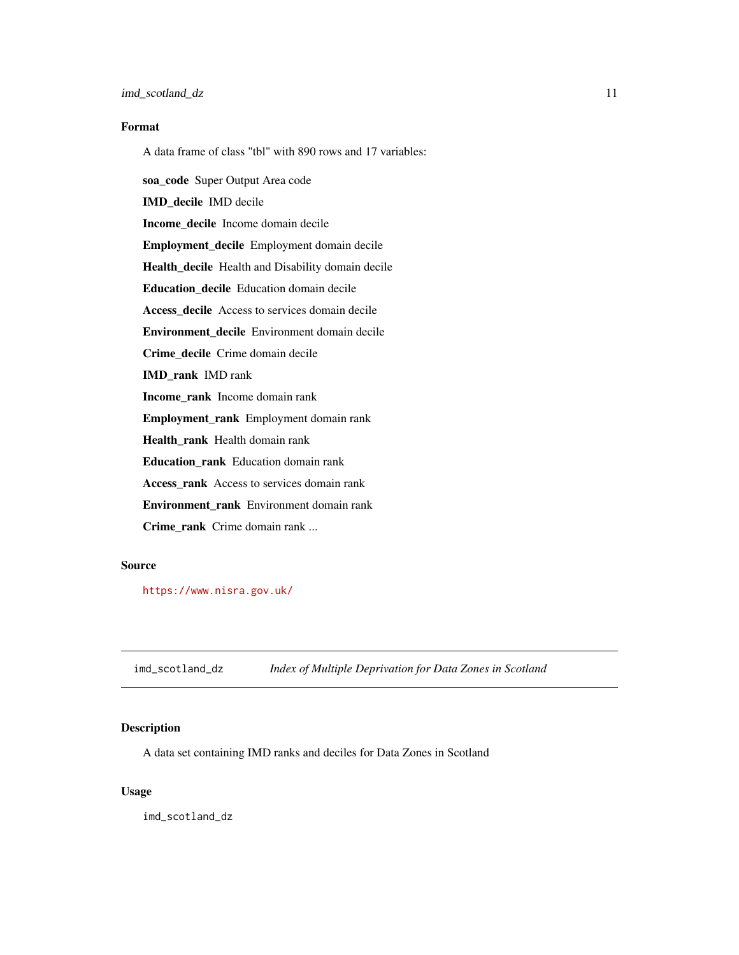<span id="page-10-0"></span>A data frame of class "tbl" with 890 rows and 17 variables:

soa\_code Super Output Area code IMD\_decile IMD decile Income\_decile Income domain decile Employment\_decile Employment domain decile Health\_decile Health and Disability domain decile Education\_decile Education domain decile Access\_decile Access to services domain decile Environment\_decile Environment domain decile Crime decile Crime domain decile IMD\_rank IMD rank Income\_rank Income domain rank Employment\_rank Employment domain rank Health\_rank Health domain rank Education\_rank Education domain rank Access\_rank Access to services domain rank Environment rank Environment domain rank Crime\_rank Crime domain rank ...

#### Source

<https://www.nisra.gov.uk/>

imd\_scotland\_dz *Index of Multiple Deprivation for Data Zones in Scotland*

#### Description

A data set containing IMD ranks and deciles for Data Zones in Scotland

#### Usage

imd\_scotland\_dz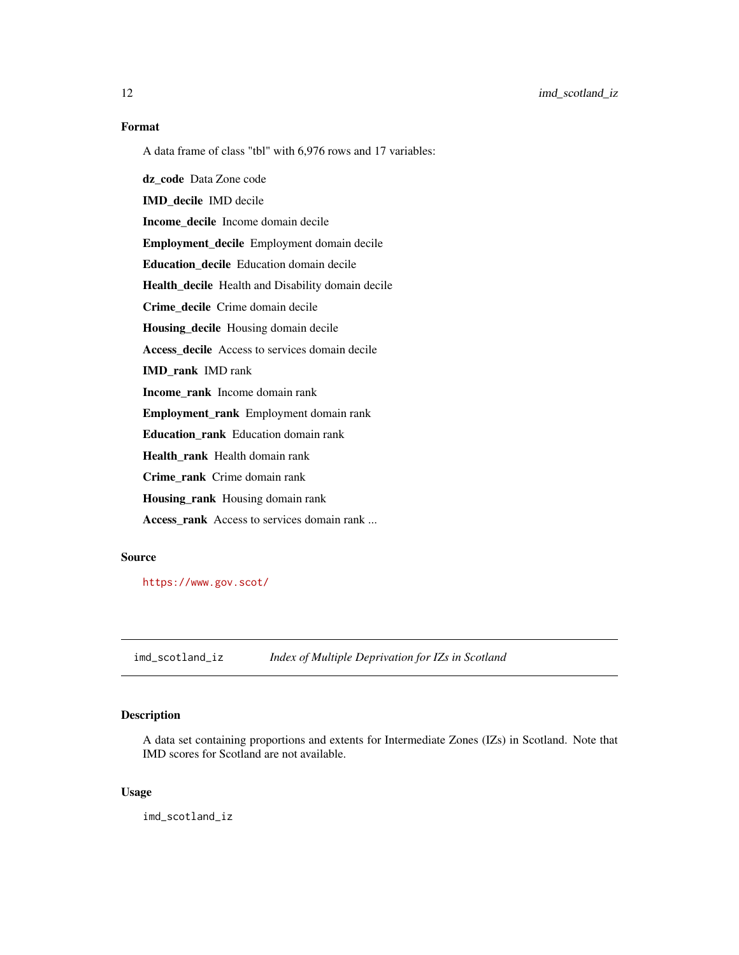<span id="page-11-0"></span>12 imd\_scotland\_iz

#### Format

A data frame of class "tbl" with 6,976 rows and 17 variables:

dz\_code Data Zone code

IMD\_decile IMD decile

Income\_decile Income domain decile

Employment\_decile Employment domain decile

Education\_decile Education domain decile

Health\_decile Health and Disability domain decile

Crime\_decile Crime domain decile

Housing\_decile Housing domain decile

Access\_decile Access to services domain decile

IMD\_rank IMD rank

Income\_rank Income domain rank

Employment\_rank Employment domain rank

Education\_rank Education domain rank

Health\_rank Health domain rank

Crime\_rank Crime domain rank

Housing\_rank Housing domain rank

Access\_rank Access to services domain rank ...

#### Source

<https://www.gov.scot/>

imd\_scotland\_iz *Index of Multiple Deprivation for IZs in Scotland*

#### Description

A data set containing proportions and extents for Intermediate Zones (IZs) in Scotland. Note that IMD scores for Scotland are not available.

#### Usage

imd\_scotland\_iz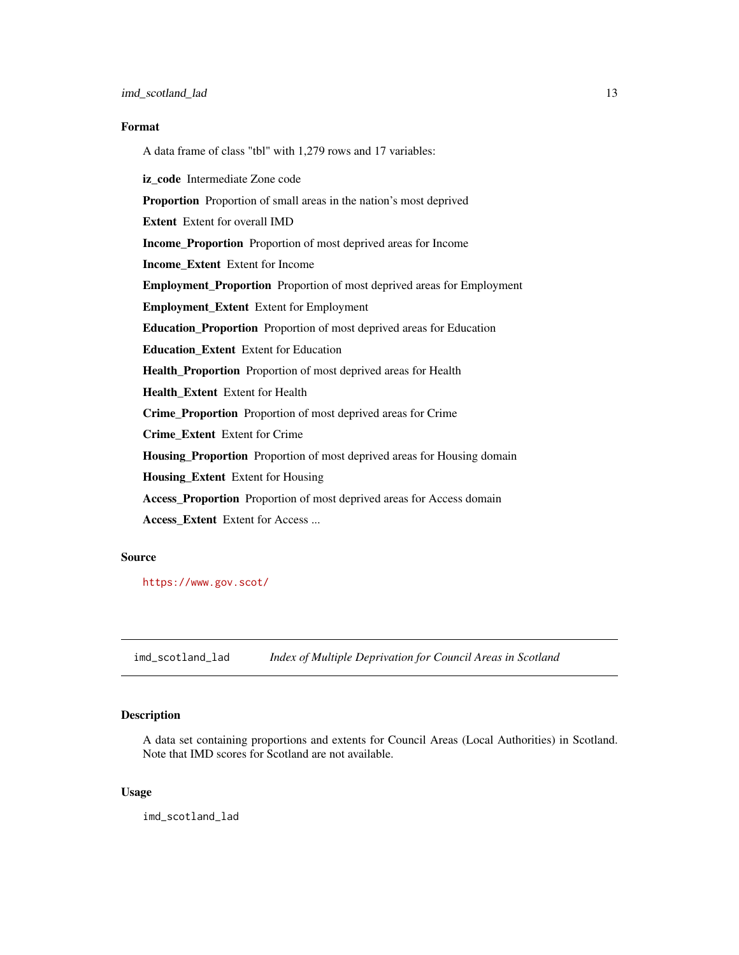<span id="page-12-0"></span>A data frame of class "tbl" with 1,279 rows and 17 variables: iz\_code Intermediate Zone code Proportion Proportion of small areas in the nation's most deprived Extent Extent for overall IMD Income\_Proportion Proportion of most deprived areas for Income Income\_Extent Extent for Income Employment\_Proportion Proportion of most deprived areas for Employment Employment\_Extent Extent for Employment Education\_Proportion Proportion of most deprived areas for Education Education\_Extent Extent for Education Health\_Proportion Proportion of most deprived areas for Health Health\_Extent Extent for Health Crime\_Proportion Proportion of most deprived areas for Crime Crime\_Extent Extent for Crime Housing\_Proportion Proportion of most deprived areas for Housing domain Housing\_Extent Extent for Housing Access\_Proportion Proportion of most deprived areas for Access domain Access\_Extent Extent for Access ... Source

<https://www.gov.scot/>

imd\_scotland\_lad *Index of Multiple Deprivation for Council Areas in Scotland*

#### Description

A data set containing proportions and extents for Council Areas (Local Authorities) in Scotland. Note that IMD scores for Scotland are not available.

#### Usage

imd\_scotland\_lad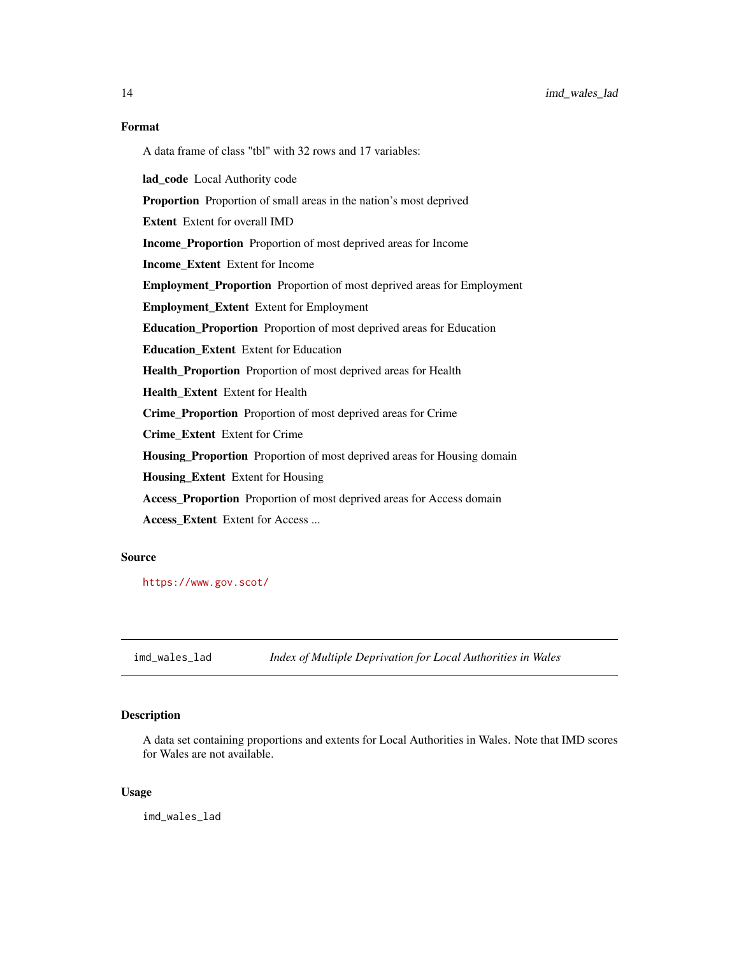A data frame of class "tbl" with 32 rows and 17 variables:

lad\_code Local Authority code

Proportion Proportion of small areas in the nation's most deprived

Extent Extent for overall IMD

Income\_Proportion Proportion of most deprived areas for Income

Income\_Extent Extent for Income

Employment\_Proportion Proportion of most deprived areas for Employment

Employment\_Extent Extent for Employment

Education\_Proportion Proportion of most deprived areas for Education

Education\_Extent Extent for Education

Health\_Proportion Proportion of most deprived areas for Health

Health\_Extent Extent for Health

Crime\_Proportion Proportion of most deprived areas for Crime

Crime\_Extent Extent for Crime

Housing\_Proportion Proportion of most deprived areas for Housing domain

Housing\_Extent Extent for Housing

Access\_Proportion Proportion of most deprived areas for Access domain

Access\_Extent Extent for Access ...

#### Source

<https://www.gov.scot/>

imd\_wales\_lad *Index of Multiple Deprivation for Local Authorities in Wales*

#### Description

A data set containing proportions and extents for Local Authorities in Wales. Note that IMD scores for Wales are not available.

#### Usage

imd\_wales\_lad

<span id="page-13-0"></span>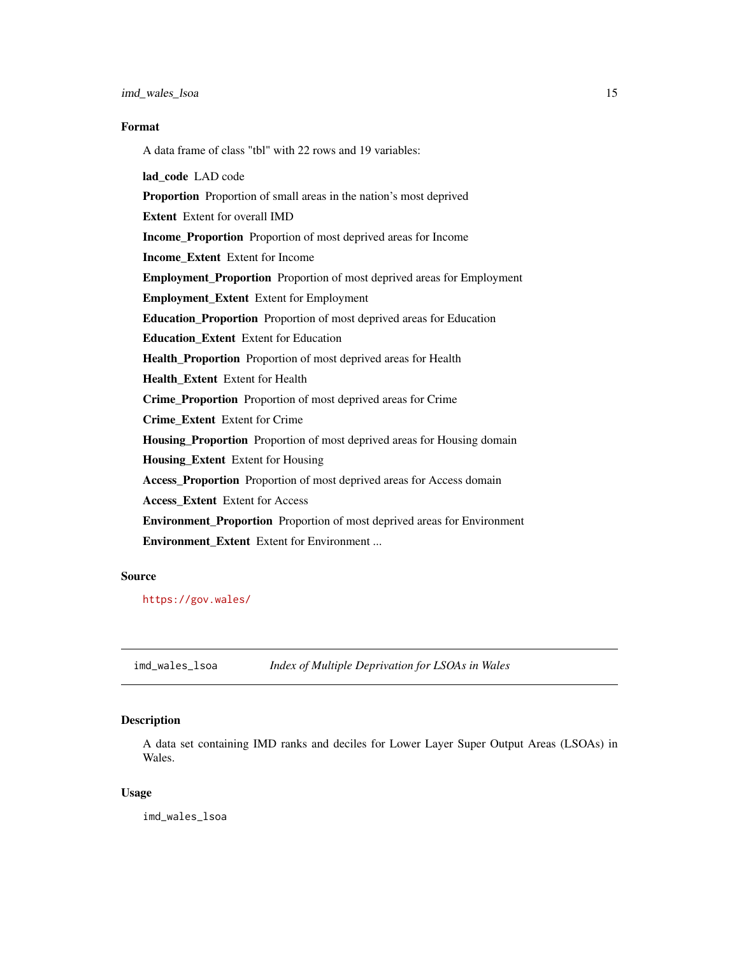<span id="page-14-0"></span>A data frame of class "tbl" with 22 rows and 19 variables:

lad code LAD code Proportion Proportion of small areas in the nation's most deprived Extent Extent for overall IMD Income\_Proportion Proportion of most deprived areas for Income Income\_Extent Extent for Income Employment\_Proportion Proportion of most deprived areas for Employment Employment\_Extent Extent for Employment Education\_Proportion Proportion of most deprived areas for Education Education\_Extent Extent for Education Health\_Proportion Proportion of most deprived areas for Health Health\_Extent Extent for Health Crime\_Proportion Proportion of most deprived areas for Crime Crime\_Extent Extent for Crime Housing\_Proportion Proportion of most deprived areas for Housing domain Housing\_Extent Extent for Housing Access\_Proportion Proportion of most deprived areas for Access domain Access\_Extent Extent for Access Environment\_Proportion Proportion of most deprived areas for Environment Environment Extent Extent for Environment ...

#### Source

<https://gov.wales/>

imd\_wales\_lsoa *Index of Multiple Deprivation for LSOAs in Wales*

#### Description

A data set containing IMD ranks and deciles for Lower Layer Super Output Areas (LSOAs) in Wales.

#### Usage

imd\_wales\_lsoa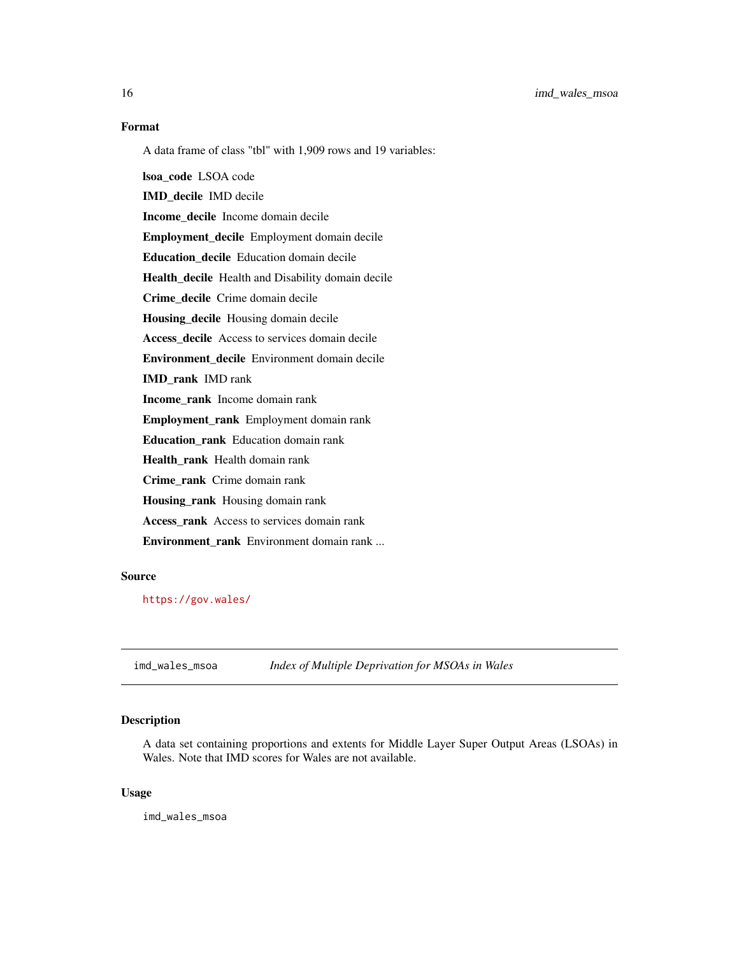<span id="page-15-0"></span>16 imd\_wales\_msoa

#### Format

A data frame of class "tbl" with 1,909 rows and 19 variables:

lsoa\_code LSOA code IMD\_decile IMD decile Income\_decile Income domain decile Employment\_decile Employment domain decile Education\_decile Education domain decile Health\_decile Health and Disability domain decile Crime\_decile Crime domain decile Housing\_decile Housing domain decile Access\_decile Access to services domain decile Environment\_decile Environment domain decile IMD\_rank IMD rank Income\_rank Income domain rank Employment\_rank Employment domain rank Education\_rank Education domain rank Health\_rank Health domain rank Crime\_rank Crime domain rank Housing\_rank Housing domain rank Access\_rank Access to services domain rank Environment rank Environment domain rank ...

#### Source

<https://gov.wales/>

imd\_wales\_msoa *Index of Multiple Deprivation for MSOAs in Wales*

#### Description

A data set containing proportions and extents for Middle Layer Super Output Areas (LSOAs) in Wales. Note that IMD scores for Wales are not available.

#### Usage

imd\_wales\_msoa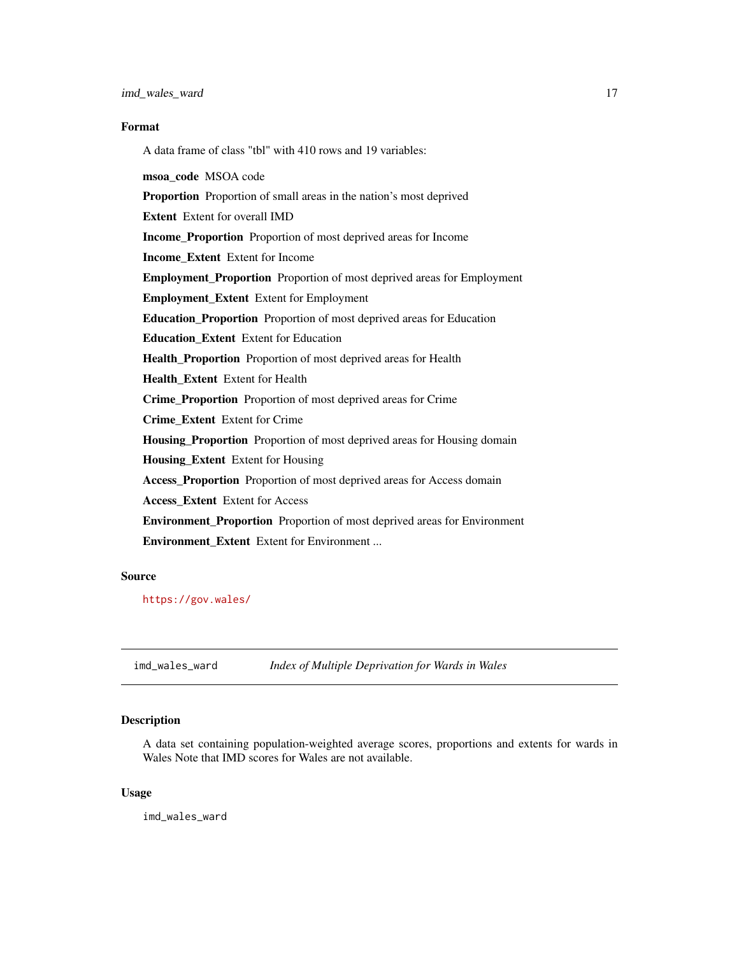<span id="page-16-0"></span>A data frame of class "tbl" with 410 rows and 19 variables: msoa\_code MSOA code Proportion Proportion of small areas in the nation's most deprived Extent Extent for overall IMD Income\_Proportion Proportion of most deprived areas for Income Income\_Extent Extent for Income Employment\_Proportion Proportion of most deprived areas for Employment Employment\_Extent Extent for Employment Education\_Proportion Proportion of most deprived areas for Education Education\_Extent Extent for Education Health\_Proportion Proportion of most deprived areas for Health Health\_Extent Extent for Health Crime\_Proportion Proportion of most deprived areas for Crime Crime\_Extent Extent for Crime Housing\_Proportion Proportion of most deprived areas for Housing domain Housing\_Extent Extent for Housing Access\_Proportion Proportion of most deprived areas for Access domain Access\_Extent Extent for Access Environment\_Proportion Proportion of most deprived areas for Environment Environment Extent Extent for Environment ...

#### Source

<https://gov.wales/>

imd\_wales\_ward *Index of Multiple Deprivation for Wards in Wales*

#### Description

A data set containing population-weighted average scores, proportions and extents for wards in Wales Note that IMD scores for Wales are not available.

#### Usage

imd\_wales\_ward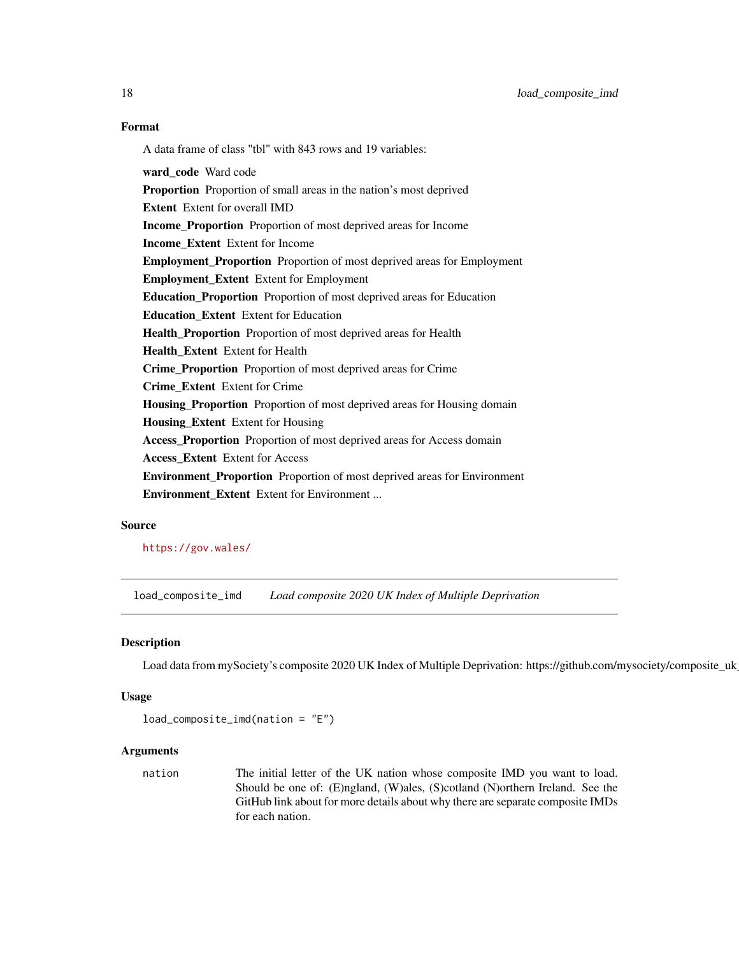A data frame of class "tbl" with 843 rows and 19 variables: ward code Ward code Proportion Proportion of small areas in the nation's most deprived Extent Extent for overall IMD Income\_Proportion Proportion of most deprived areas for Income Income\_Extent Extent for Income Employment\_Proportion Proportion of most deprived areas for Employment Employment\_Extent Extent for Employment Education\_Proportion Proportion of most deprived areas for Education Education\_Extent Extent for Education Health\_Proportion Proportion of most deprived areas for Health Health\_Extent Extent for Health Crime\_Proportion Proportion of most deprived areas for Crime Crime\_Extent Extent for Crime Housing\_Proportion Proportion of most deprived areas for Housing domain Housing\_Extent Extent for Housing Access\_Proportion Proportion of most deprived areas for Access domain Access\_Extent Extent for Access Environment\_Proportion Proportion of most deprived areas for Environment Environment\_Extent Extent for Environment ...

#### Source

<https://gov.wales/>

load\_composite\_imd *Load composite 2020 UK Index of Multiple Deprivation*

#### Description

Load data from mySociety's composite 2020 UK Index of Multiple Deprivation: https://github.com/mysociety/composite\_uk

#### Usage

```
load_composite_imd(nation = "E")
```
#### **Arguments**

nation The initial letter of the UK nation whose composite IMD you want to load. Should be one of: (E)ngland, (W)ales, (S)cotland (N)orthern Ireland. See the GitHub link about for more details about why there are separate composite IMDs for each nation.

<span id="page-17-0"></span>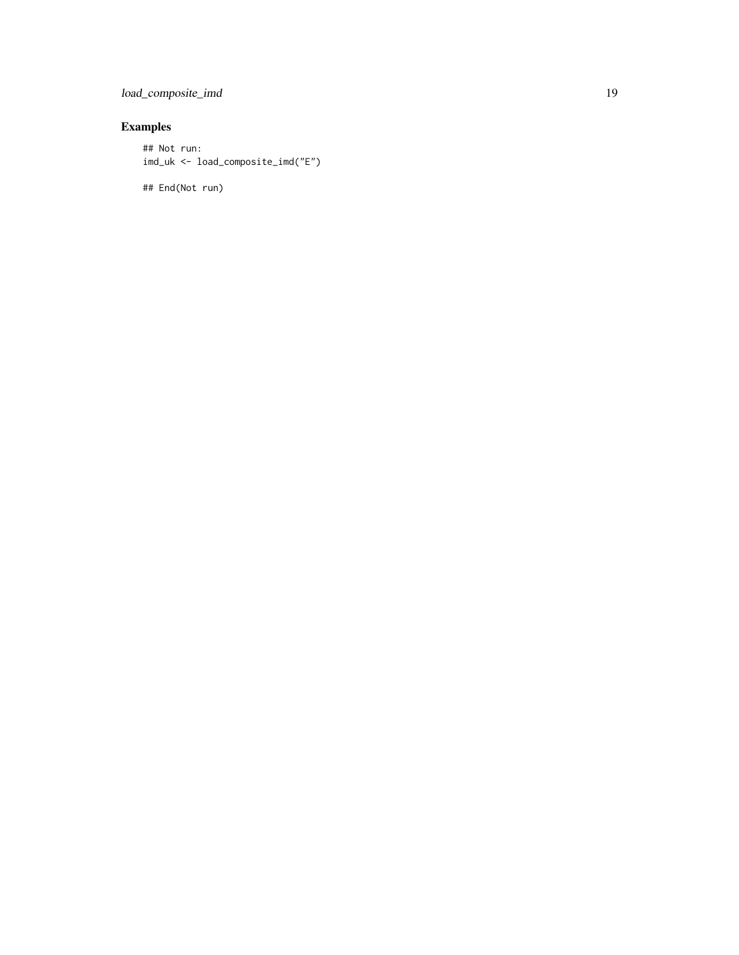## load\_composite\_imd 19

### Examples

## Not run: imd\_uk <- load\_composite\_imd("E")

## End(Not run)